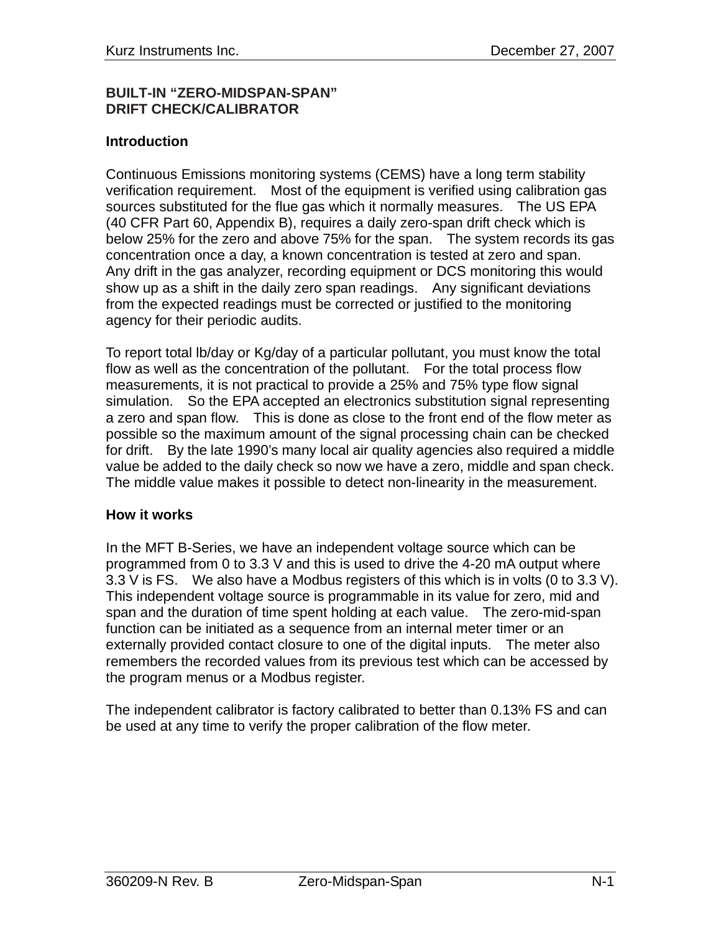### **BUILT-IN "ZERO-MIDSPAN-SPAN" DRIFT CHECK/CALIBRATOR**

### **Introduction**

Continuous Emissions monitoring systems (CEMS) have a long term stability verification requirement. Most of the equipment is verified using calibration gas sources substituted for the flue gas which it normally measures. The US EPA (40 CFR Part 60, Appendix B), requires a daily zero-span drift check which is below 25% for the zero and above 75% for the span. The system records its gas concentration once a day, a known concentration is tested at zero and span. Any drift in the gas analyzer, recording equipment or DCS monitoring this would show up as a shift in the daily zero span readings. Any significant deviations from the expected readings must be corrected or justified to the monitoring agency for their periodic audits.

To report total lb/day or Kg/day of a particular pollutant, you must know the total flow as well as the concentration of the pollutant. For the total process flow measurements, it is not practical to provide a 25% and 75% type flow signal simulation. So the EPA accepted an electronics substitution signal representing a zero and span flow. This is done as close to the front end of the flow meter as possible so the maximum amount of the signal processing chain can be checked for drift. By the late 1990's many local air quality agencies also required a middle value be added to the daily check so now we have a zero, middle and span check. The middle value makes it possible to detect non-linearity in the measurement.

### **How it works**

In the MFT B-Series, we have an independent voltage source which can be programmed from 0 to 3.3 V and this is used to drive the 4-20 mA output where 3.3 V is FS. We also have a Modbus registers of this which is in volts (0 to 3.3 V). This independent voltage source is programmable in its value for zero, mid and span and the duration of time spent holding at each value. The zero-mid-span function can be initiated as a sequence from an internal meter timer or an externally provided contact closure to one of the digital inputs. The meter also remembers the recorded values from its previous test which can be accessed by the program menus or a Modbus register.

The independent calibrator is factory calibrated to better than 0.13% FS and can be used at any time to verify the proper calibration of the flow meter.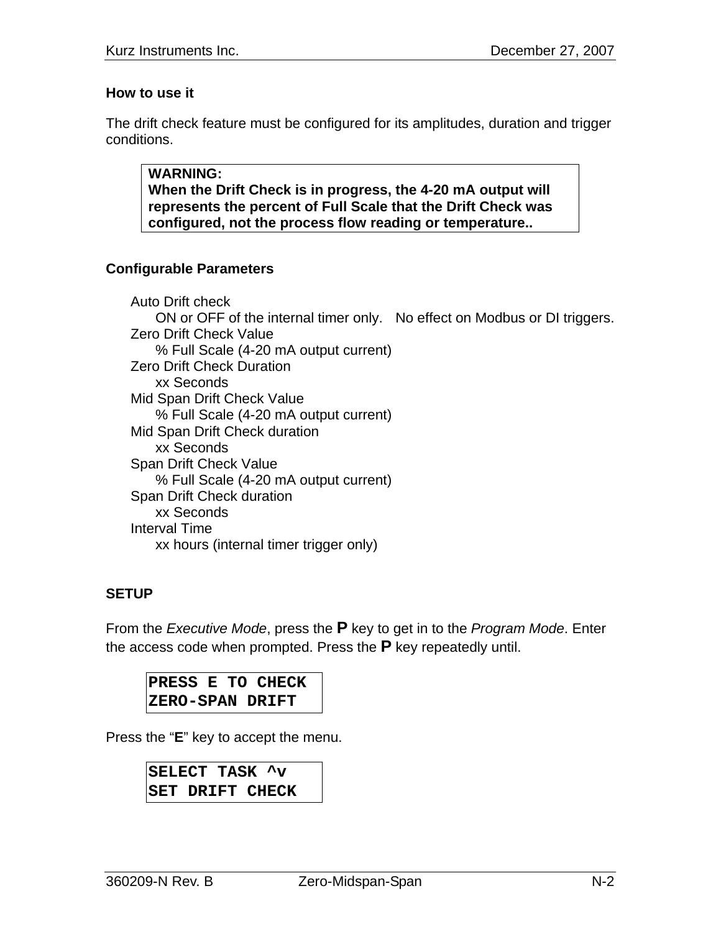## **How to use it**

The drift check feature must be configured for its amplitudes, duration and trigger conditions.

**WARNING: When the Drift Check is in progress, the 4-20 mA output will represents the percent of Full Scale that the Drift Check was configured, not the process flow reading or temperature..** 

## **Configurable Parameters**

Auto Drift check ON or OFF of the internal timer only. No effect on Modbus or DI triggers. Zero Drift Check Value % Full Scale (4-20 mA output current) Zero Drift Check Duration xx Seconds Mid Span Drift Check Value % Full Scale (4-20 mA output current) Mid Span Drift Check duration xx Seconds Span Drift Check Value % Full Scale (4-20 mA output current) Span Drift Check duration xx Seconds Interval Time xx hours (internal timer trigger only)

# **SETUP**

From the *Executive Mode*, press the **P** key to get in to the *Program Mode*. Enter the access code when prompted. Press the **P** key repeatedly until.

**PRESS E TO CHECK ZERO-SPAN DRIFT** 

Press the "**E**" key to accept the menu.

**SELECT TASK ^v SET DRIFT CHECK**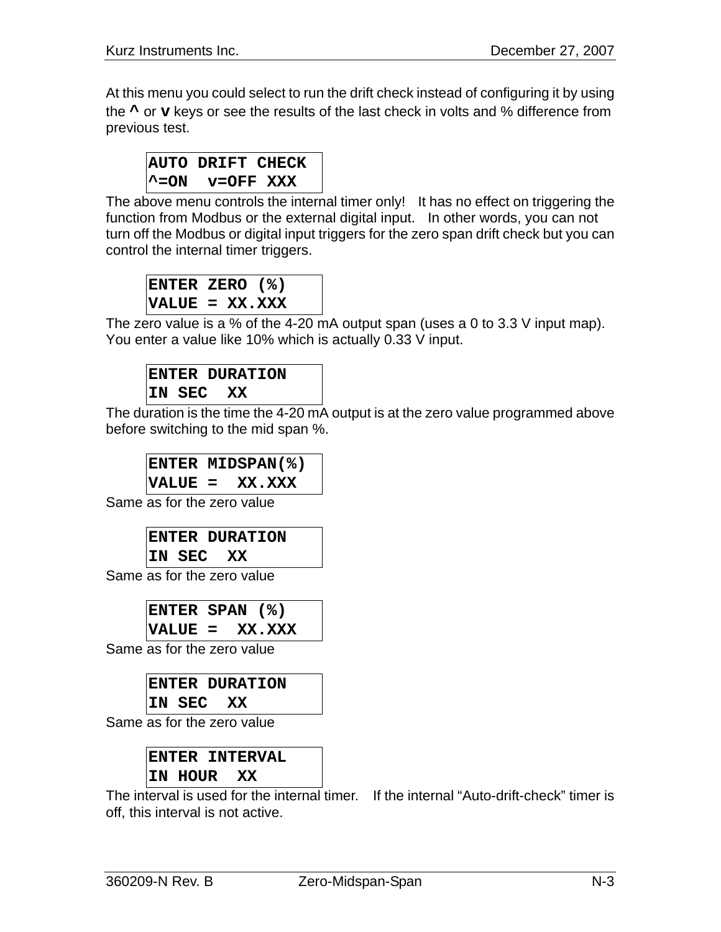At this menu you could select to run the drift check instead of configuring it by using the **^** or **v** keys or see the results of the last check in volts and % difference from previous test.

```
AUTO DRIFT CHECK 
^=ON v=OFF XXX
```
The above menu controls the internal timer only! It has no effect on triggering the function from Modbus or the external digital input. In other words, you can not turn off the Modbus or digital input triggers for the zero span drift check but you can control the internal timer triggers.

```
ENTER ZERO (%) 
VALUE = XX.XXX
```
The zero value is a % of the 4-20 mA output span (uses a 0 to 3.3 V input map). You enter a value like 10% which is actually 0.33 V input.

```
ENTER DURATION 
IN SEC XX
```
The duration is the time the 4-20 mA output is at the zero value programmed above before switching to the mid span %.

```
ENTER MIDSPAN(%) 
VALUE = XX.XXX
```
Same as for the zero value

```
ENTER DURATION 
IN SEC XX
```
Same as for the zero value

**ENTER SPAN (%) VALUE = XX.XXX** 

Same as for the zero value

**ENTER DURATION IN SEC XX** 

Same as for the zero value

**ENTER INTERVAL IN HOUR XX** 

The interval is used for the internal timer. If the internal "Auto-drift-check" timer is off, this interval is not active.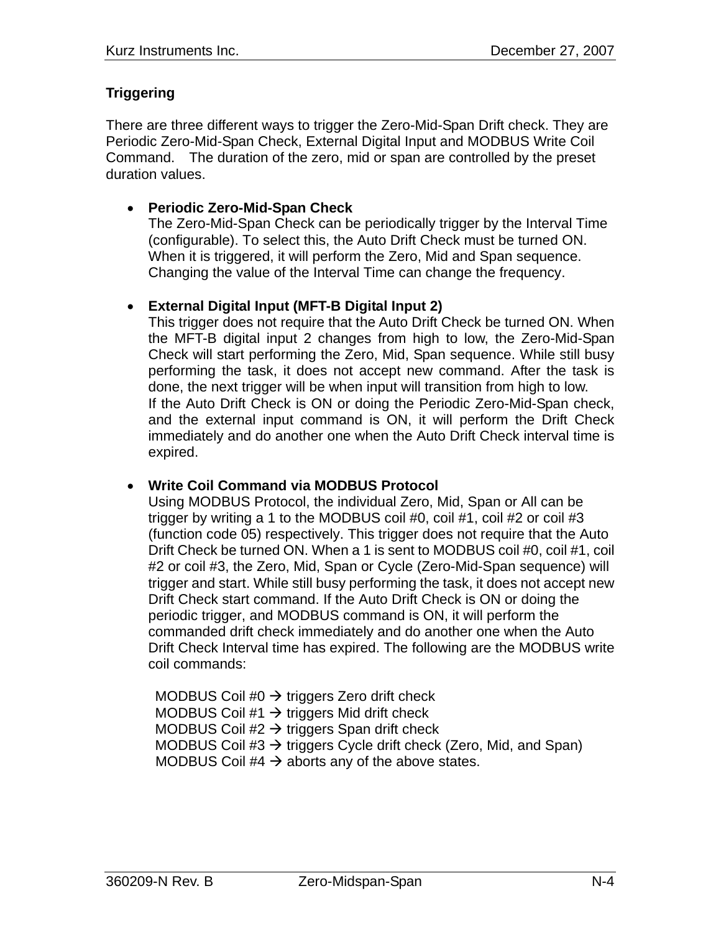## **Triggering**

There are three different ways to trigger the Zero-Mid-Span Drift check. They are Periodic Zero-Mid-Span Check, External Digital Input and MODBUS Write Coil Command. The duration of the zero, mid or span are controlled by the preset duration values.

## • **Periodic Zero-Mid-Span Check**

The Zero-Mid-Span Check can be periodically trigger by the Interval Time (configurable). To select this, the Auto Drift Check must be turned ON. When it is triggered, it will perform the Zero, Mid and Span sequence. Changing the value of the Interval Time can change the frequency.

## • **External Digital Input (MFT-B Digital Input 2)**

This trigger does not require that the Auto Drift Check be turned ON. When the MFT-B digital input 2 changes from high to low, the Zero-Mid-Span Check will start performing the Zero, Mid, Span sequence. While still busy performing the task, it does not accept new command. After the task is done, the next trigger will be when input will transition from high to low. If the Auto Drift Check is ON or doing the Periodic Zero-Mid-Span check, and the external input command is ON, it will perform the Drift Check immediately and do another one when the Auto Drift Check interval time is expired.

### • **Write Coil Command via MODBUS Protocol**

Using MODBUS Protocol, the individual Zero, Mid, Span or All can be trigger by writing a 1 to the MODBUS coil #0, coil #1, coil #2 or coil #3 (function code 05) respectively. This trigger does not require that the Auto Drift Check be turned ON. When a 1 is sent to MODBUS coil #0, coil #1, coil #2 or coil #3, the Zero, Mid, Span or Cycle (Zero-Mid-Span sequence) will trigger and start. While still busy performing the task, it does not accept new Drift Check start command. If the Auto Drift Check is ON or doing the periodic trigger, and MODBUS command is ON, it will perform the commanded drift check immediately and do another one when the Auto Drift Check Interval time has expired. The following are the MODBUS write coil commands:

MODBUS Coil #0  $\rightarrow$  triggers Zero drift check MODBUS Coil  $#1 \rightarrow$  triggers Mid drift check MODBUS Coil  $#2 \rightarrow$  triggers Span drift check MODBUS Coil  $#3 \rightarrow$  triggers Cycle drift check (Zero, Mid, and Span) MODBUS Coil  $#4 \rightarrow$  aborts any of the above states.